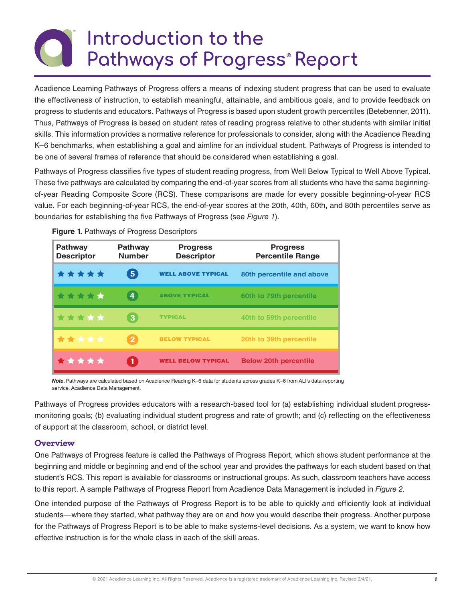# **Introduction to the Pathways of Progress® Report**

Acadience Learning Pathways of Progress offers a means of indexing student progress that can be used to evaluate the effectiveness of instruction, to establish meaningful, attainable, and ambitious goals, and to provide feedback on progress to students and educators. Pathways of Progress is based upon student growth percentiles (Betebenner, 2011). Thus, Pathways of Progress is based on student rates of reading progress relative to other students with similar initial skills. This information provides a normative reference for professionals to consider, along with the Acadience Reading K–6 benchmarks, when establishing a goal and aimline for an individual student. Pathways of Progress is intended to be one of several frames of reference that should be considered when establishing a goal.

Pathways of Progress classifies five types of student reading progress, from Well Below Typical to Well Above Typical. These five pathways are calculated by comparing the end-of-year scores from all students who have the same beginningof-year Reading Composite Score (RCS). These comparisons are made for every possible beginning-of-year RCS value. For each beginning-of-year RCS, the end-of-year scores at the 20th, 40th, 60th, and 80th percentiles serve as boundaries for establishing the five Pathways of Progress (see *Figure 1*).

| <b>Pathway</b><br><b>Descriptor</b> | <b>Pathway</b><br><b>Number</b> | <b>Progress</b><br><b>Descriptor</b> | <b>Progress</b><br><b>Percentile Range</b> |
|-------------------------------------|---------------------------------|--------------------------------------|--------------------------------------------|
| *****                               | $\boxed{5}$                     | <b>WELL ABOVE TYPICAL</b>            | 80th percentile and above                  |
| *****                               | <b>Ay</b>                       | <b>ABOVE TYPICAL</b>                 | 60th to 79th percentile                    |
| *****                               | 3                               | <b>TYPICAL</b>                       | 40th to 59th percentile                    |
| *****                               | $\overline{2}$                  | <b>BELOW TYPICAL</b>                 | 20th to 39th percentile                    |
| *****                               | $\blacklozenge$                 | <b>WELL BELOW TYPICAL</b>            | <b>Below 20th percentile</b>               |

**Figure 1.** Pathways of Progress Descriptors

*Note*. Pathways are calculated based on Acadience Reading K–6 data for students across grades K–6 from ALI's data-reporting service, Acadience Data Management.

Pathways of Progress provides educators with a research-based tool for (a) establishing individual student progressmonitoring goals; (b) evaluating individual student progress and rate of growth; and (c) reflecting on the effectiveness of support at the classroom, school, or district level.

#### **Overview**

One Pathways of Progress feature is called the Pathways of Progress Report, which shows student performance at the beginning and middle or beginning and end of the school year and provides the pathways for each student based on that student's RCS. This report is available for classrooms or instructional groups. As such, classroom teachers have access to this report. A sample Pathways of Progress Report from Acadience Data Management is included in *Figure 2*.

One intended purpose of the Pathways of Progress Report is to be able to quickly and efficiently look at individual students—where they started, what pathway they are on and how you would describe their progress. Another purpose for the Pathways of Progress Report is to be able to make systems-level decisions. As a system, we want to know how effective instruction is for the whole class in each of the skill areas.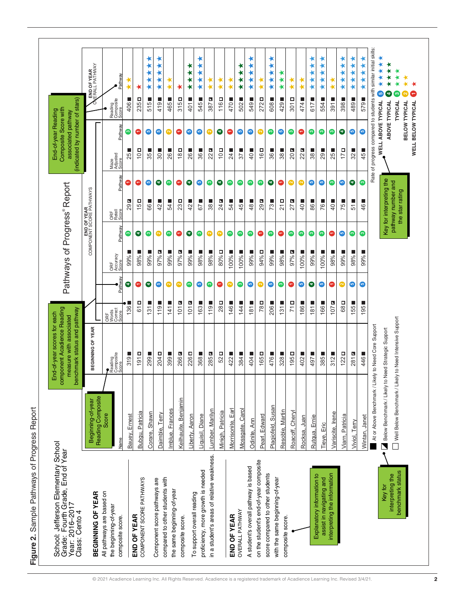Figure 2. Sample Pathways of Progress Report **Figure 2.** Sample Pathways of Progress Report

| Reading Composite<br>Beginning-of-year<br>Score<br>Bauey, Ernest<br>Name<br><b>BEGINNING OF YEAR</b><br>All pathways are based on<br>the beginning-of-year<br>END OF YEAR<br>composite score. | benchmark status and pathway                            |                                  |           |                          | Pathways of Progress <sup>®</sup> Report |                                             |                          | (indicated by number of stars) |           | associated pathway                               |                                                                    |
|-----------------------------------------------------------------------------------------------------------------------------------------------------------------------------------------------|---------------------------------------------------------|----------------------------------|-----------|--------------------------|------------------------------------------|---------------------------------------------|--------------------------|--------------------------------|-----------|--------------------------------------------------|--------------------------------------------------------------------|
|                                                                                                                                                                                               | BEGINNING OF YEAR                                       |                                  |           |                          |                                          | END OF YEAR<br>COMPONENT SCORE PATHWAYS     |                          |                                |           | Ō                                                | END OF YEAR<br>(ERALL PATHWAY                                      |
|                                                                                                                                                                                               | Reading<br>Composite<br>Score                           | ORF<br>Words<br>Correct<br>Score | Pathway   | ORF<br>Accuracy<br>Score | Pathway                                  | ORF<br>Retell<br>Score                      | Pathway                  | Maze<br>Adjusted<br>Score      | Pathway   | Reading<br>Composite<br>Score                    | Pathway                                                            |
|                                                                                                                                                                                               | ш<br>319                                                | 1361                             | $\bullet$ | 99%                      | $\boldsymbol{\circ}$                     | N<br>29                                     | $\overline{\phantom{0}}$ | 25                             | ◎         | ц<br>406                                         | ∗                                                                  |
| Bubgu, Patricia<br>COMPONENT SCORE PATHWAYS                                                                                                                                                   | 191                                                     | $\overline{6}$                   | G         | 98%                      | Θ                                        | Д<br>$\frac{5}{2}$                          |                          | $10\,$ D                       | G         | 235 <sub>D</sub>                                 | ⊀                                                                  |
| Corare, Shawn                                                                                                                                                                                 | 299                                                     | 31                               | €         | 99%                      | Ω                                        | $\Box$<br>88                                | ⊕                        | 35                             | ⊕         | $\mathbb{R}$<br>515                              | $\bigstar$<br>∗<br>∗<br>★<br>∗                                     |
| Daimble, Terry<br>Component score pathways are                                                                                                                                                | 204 <sub>D</sub>                                        | ш<br>1191                        | ⊕         | N<br>97%1                | Ø                                        | ш<br>42                                     | ●                        | $30\blacksquare$               | ⊕         | $\overline{\phantom{a}}$<br>419                  | ⊀<br>∗<br>∗<br>∗<br>∗                                              |
| Imblue, Frances<br>compared to other students with                                                                                                                                            | 399■                                                    | ш<br>141                         | Q         | 99%                      | ∞                                        | $\Box$<br>54                                | ◎                        | 26                             | Q         | $\overline{\phantom{a}}$<br>465                  | ⊀<br>⊀                                                             |
| Keilhauite, Benjamin<br>the same beginning-of-year<br>composite score.                                                                                                                        | 266                                                     | N<br>101                         | ◎         | L,<br>97%                | Θ                                        | Д<br>23                                     | Θ                        | $18\Box$                       | Θ         | o<br>315                                         | ⊀                                                                  |
| Liberty, Aaron                                                                                                                                                                                | 226 <sub>D</sub>                                        | N<br>101                         | ◙         | 99%                      | Θ                                        | L<br>42                                     | Θ                        | 26■                            | ©         | $\Box$<br>401                                    | ⊀<br>⊀<br>$\star$<br>∗                                             |
| Liquisil, Diane<br>proficiency, more growth is needed<br>To support overall reading                                                                                                           | Ц<br>368                                                | 163■                             | ⊕         | 98%                      | ◎                                        | $\overline{\phantom{a}}$<br>5               | ◎                        | 36                             | ⊕         | щ<br>545                                         | ∗<br>∗<br>$\bigstar$<br>∗                                          |
| Lumber, Marilyn<br>in a student's areas of relative weakness.                                                                                                                                 | P.<br>285                                               | ш<br>119                         | ◎         | 98%                      | ◙                                        | $\overline{\phantom{a}}$<br>38              | ◉                        | 22                             | ◙         | N<br>387                                         | ⊀<br>⊀                                                             |
| Minigh, Patricia                                                                                                                                                                              | Д<br>52                                                 | о<br>28                          | 0         | o<br>80%                 | ◎                                        | N<br>24                                     | Θ                        | $10\overline{D}$               | ●         | o<br>116                                         | ⊀<br>$\star$                                                       |
| Morrisonite, Earl<br>END OF YEAR                                                                                                                                                              | ш<br>422                                                | 146                              | $\bullet$ | 100%                     | $\bullet$                                | $\Box$<br>54                                | ◎                        | щ<br>$\overline{2}$            | G         | ш<br>470                                         | ⊀<br>$\star$                                                       |
| Carol<br>Mossgate,<br><b>OVERALL PATHWAY</b>                                                                                                                                                  | Ц<br>384                                                | 144                              | ◎         | 100%                     | ◎                                        | ш<br>45                                     | ◎                        | щ<br>57                        | ⊕         | ш<br>502                                         | ∗<br>$\star$<br>$\star$<br>$\star$                                 |
| Odinite, Ann<br>A student's overall pathway is based                                                                                                                                          | Ц<br>404                                                | 181                              | ⊕         | 99%                      | ◙                                        | $\Box$<br>$\frac{8}{4}$                     | $\bullet$                | 40                             | ◎         | ш<br>549                                         | ∗<br>∗<br>⊀<br>★<br>∗                                              |
| Pearl, Edward<br>on the student's end-of-year composite                                                                                                                                       | Д<br>165                                                | Д<br>781                         | ◙         | 94% <sub>D</sub>         | G                                        | N<br>29                                     | ◎                        | $16\Box$                       | Q         | o<br>272                                         | ⊀<br>$\star$                                                       |
| Plagiofeld, Susan<br>score compared to other students                                                                                                                                         | 476                                                     | 206■                             | ©         | 99%                      | Ø                                        | $\overline{\phantom{a}}$<br>73              | €                        | 36                             | ◎         | L<br>608                                         | ∗<br>★<br>$\star$<br>$\star$<br>$\star$                            |
| Resoble, Martin<br>with the same beginning-of-year<br>composite score.                                                                                                                        | 328                                                     | 131                              | ◉         | 98%                      | Θ                                        | 口<br>$\overline{21}$                        | c                        | 38                             | ⊕         | Ц<br>429                                         | ∗<br>$\bigstar$<br>$\star$                                         |
| Roacoff, Cheryl                                                                                                                                                                               | 195 <sub>D</sub>                                        | о<br>71                          | Θ         | 97% D                    | Ø                                        | N<br>27                                     | ◙                        | 20 <sub>2</sub>                | ◙         | $\Box$<br>301                                    | ⊀<br>$\star$                                                       |
| Juan<br>Rocksa,                                                                                                                                                                               | щ<br>402                                                | ш<br>86                          | ◎         | 100%                     | ◎                                        | ш<br>$\overline{40}$                        | ◙                        | 22                             | Θ         | $\Box$<br>474                                    | ×<br>$\star$                                                       |
| Rutqua, Ernie<br>Explanatory information to                                                                                                                                                   | ш<br>497                                                | ш<br>181                         | ❺         | 99%                      | ◎                                        | $\Box$<br>86                                | ◎                        | 38                             | ◙         | Ц<br>617                                         | ★<br>**<br>$\star$<br>¥                                            |
| Tieye, Eric<br>assist in navigating and                                                                                                                                                       | Ш<br>385                                                | 166■                             | ©         | 100%                     | ◎                                        | $\overline{\phantom{a}}$<br>76              | $\bullet$                | 29                             | ◎         | $\overline{\phantom{a}}$<br>554                  | ★<br>$\star$<br>∗                                                  |
| Variscite, Irene<br>interpreting the information                                                                                                                                              | Ц<br>312                                                | 107 <b>a</b>                     | Θ         | 98%                      | Θ                                        | $\overline{\phantom{a}}$<br>$\overline{40}$ | Ø                        | 25                             | ◎         | 391                                              | ⊀<br>$\star$                                                       |
| Viam, Patricia                                                                                                                                                                                | 122                                                     | Д<br>68                          | ◙         | 99%                      | ©                                        | L.<br>75                                    | ©                        | 17 <sub>D</sub>                | ●         | 398                                              | $\star$<br>$*$<br>$\star$<br>$\star$                               |
| Viviol, Terry                                                                                                                                                                                 | 281                                                     | 55                               | ©         | 98%                      | Ø                                        | $\Box$<br>51                                | €                        | 32                             | $\bullet$ | 489                                              | $\star$<br>$\star$<br>$\star$<br>$\star$                           |
| Wintan, Janet                                                                                                                                                                                 | 446                                                     | 195■                             | ⊕         | Ш<br>99%                 | Ø                                        | $\Box$<br>46                                | Ø                        | 45                             | ©         | 579                                              | $\star$<br>$\star$<br>$\star$                                      |
|                                                                                                                                                                                               | At or Above Benchmark / Likely to Need Core Support     |                                  |           |                          |                                          |                                             |                          |                                |           |                                                  | Rate of progress compared to students with similar initial skills: |
| Key for                                                                                                                                                                                       | Below Benchmark / Likely to Need Strategic Support      |                                  |           |                          |                                          | Key for interpreting the                    |                          |                                |           | WELL ABOVE TYPICAL                               | ×<br>$\star$<br><b>LO</b>                                          |
| benchmark status<br>interpreting the                                                                                                                                                          | Well Below Benchmark / Likely to Need Intensive Support |                                  |           |                          |                                          | pathway number and<br>the star rating       |                          |                                |           | TYPICAL<br><b>BELOW TYPICAL</b><br>ABOVE TYPICAL | ∗<br>$\mathbf{r}$<br>္ဂ<br>N                                       |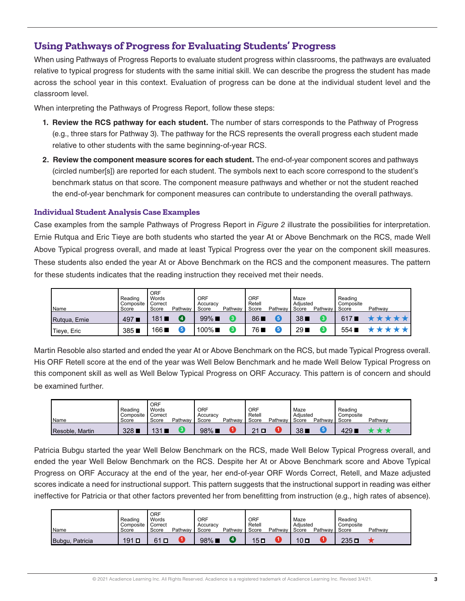# **Using Pathways of Progress for Evaluating Students' Progress**

When using Pathways of Progress Reports to evaluate student progress within classrooms, the pathways are evaluated relative to typical progress for students with the same initial skill. We can describe the progress the student has made across the school year in this context. Evaluation of progress can be done at the individual student level and the classroom level.

When interpreting the Pathways of Progress Report, follow these steps:

- **1. Review the RCS pathway for each student.** The number of stars corresponds to the Pathway of Progress (e.g., three stars for Pathway 3). The pathway for the RCS represents the overall progress each student made relative to other students with the same beginning-of-year RCS.
- **2. Review the component measure scores for each student.** The end-of-year component scores and pathways (circled number[s]) are reported for each student. The symbols next to each score correspond to the student's benchmark status on that score. The component measure pathways and whether or not the student reached the end-of-year benchmark for component measures can contribute to understanding the overall pathways.

#### **Individual Student Analysis Case Examples**

Case examples from the sample Pathways of Progress Report in *Figure 2* illustrate the possibilities for interpretation. Ernie Rutqua and Eric Tieye are both students who started the year At or Above Benchmark on the RCS, made Well Above Typical progress overall, and made at least Typical Progress over the year on the component skill measures. These students also ended the year At or Above Benchmark on the RCS and the component measures. The pattern for these students indicates that the reading instruction they received met their needs.

| Name          | Reading<br>Composite<br>Score | ORF<br>Words<br>Correct<br>Score | Pathway | ORF<br>Accuracy<br>Score | Pathway | <b>ORF</b><br>Retell<br>Score | Pathwav | Maze<br>Adiusted<br>Score | Pathwav I | Reading<br>Composite<br>Score | Pathway |
|---------------|-------------------------------|----------------------------------|---------|--------------------------|---------|-------------------------------|---------|---------------------------|-----------|-------------------------------|---------|
| Rutgua, Ernie | 4971                          | 181                              |         | $99\%$                   | 3       | 861                           |         | 38                        | 3         | 617                           |         |
| Tieye, Eric   | 385                           | $166$ $\blacksquare$             |         | 100%■                    | 3       | 76 ⊾                          |         | 29                        |           | 554 <sub>1</sub>              |         |

Martin Resoble also started and ended the year At or Above Benchmark on the RCS, but made Typical Progress overall. His ORF Retell score at the end of the year was Well Below Benchmark and he made Well Below Typical Progress on this component skill as well as Well Below Typical Progress on ORF Accuracy. This pattern is of concern and should be examined further.

| <b>Name</b>     | Reading<br>Composite<br>Score | <b>ORF</b><br>Words<br>Correct<br>Score | Pathway | ORF<br>Accuracy<br>Score | Pathway | <b>ORF</b><br>Retell<br>Score | Pathwav | Maze<br>Adiusted<br>Score | Pathway I | Reading<br>Composite<br>Score | Pathway |
|-----------------|-------------------------------|-----------------------------------------|---------|--------------------------|---------|-------------------------------|---------|---------------------------|-----------|-------------------------------|---------|
| Resoble, Martin | 328                           | 31                                      |         | $98\%$ $\blacksquare$    |         | $\Omega$                      |         | 38 <sub>1</sub>           |           | 429 F                         |         |

Patricia Bubgu started the year Well Below Benchmark on the RCS, made Well Below Typical Progress overall, and ended the year Well Below Benchmark on the RCS. Despite her At or Above Benchmark score and Above Typical Progress on ORF Accuracy at the end of the year, her end-of-year ORF Words Correct, Retell, and Maze adjusted scores indicate a need for instructional support. This pattern suggests that the instructional support in reading was either ineffective for Patricia or that other factors prevented her from benefitting from instruction (e.g., high rates of absence).

| <b>Name</b>     | Reading<br>Composite<br>Score | ORF<br><b>Words</b><br><b>I</b> Correct<br>Score | Pathway | ORF<br>Accuracy<br>Score | Pathwav        | <b>ORF</b><br>Retell<br>Score | Pathwav | Maze<br>Adiusted<br>Score | Pathway Score | Reading<br>Composite | Pathway |
|-----------------|-------------------------------|--------------------------------------------------|---------|--------------------------|----------------|-------------------------------|---------|---------------------------|---------------|----------------------|---------|
| Bubgu, Patricia | $191$ $\Box$                  | $\Box$<br>61                                     |         | 98%                      | $\overline{4}$ | 15L                           |         | $10\Box$                  |               | ם 235                |         |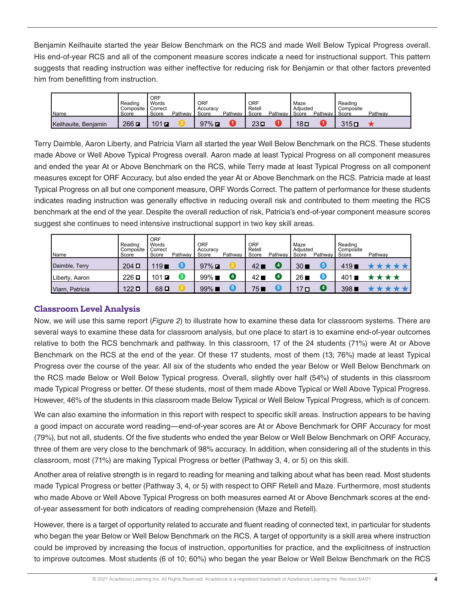Benjamin Keilhauite started the year Below Benchmark on the RCS and made Well Below Typical Progress overall. His end-of-year RCS and all of the component measure scores indicate a need for instructional support. This pattern suggests that reading instruction was either ineffective for reducing risk for Benjamin or that other factors prevented him from benefitting from instruction.

|                      | Reading<br>Composite | <b>ORF</b><br>Words<br>Correct |         | ORF<br>Accuracy       |         | ORF<br>Retell |         | Maze<br>Adiusted |           | Reading<br>Composite |         |
|----------------------|----------------------|--------------------------------|---------|-----------------------|---------|---------------|---------|------------------|-----------|----------------------|---------|
| <b>Name</b>          | Score                | Score                          | Pathway | Score                 | Pathway | Score         | Pathwav | Score            | Pathway I | Score                | Pathway |
| Keilhauite, Beniamin | $266$ $\blacksquare$ | $101$ $\blacksquare$           |         | $97\%$ $\blacksquare$ |         | $23\Box$      |         | 18口              |           | 315 ם                |         |

Terry Daimble, Aaron Liberty, and Patricia Viarn all started the year Well Below Benchmark on the RCS. These students made Above or Well Above Typical Progress overall. Aaron made at least Typical Progress on all component measures and ended the year At or Above Benchmark on the RCS, while Terry made at least Typical Progress on all component measures except for ORF Accuracy, but also ended the year At or Above Benchmark on the RCS. Patricia made at least Typical Progress on all but one component measure, ORF Words Correct. The pattern of performance for these students indicates reading instruction was generally effective in reducing overall risk and contributed to them meeting the RCS benchmark at the end of the year. Despite the overall reduction of risk, Patricia's end-of-year component measure scores suggest she continues to need intensive instructional support in two key skill areas.

| <b>Name</b>     | Reading<br>Composite<br>Score | ORF<br>Words<br>Correct<br>Score | Pathway | ORF<br>Accuracy<br>Score | Pathway | <b>ORF</b><br>Retell<br>Score | Pathway            | Maze<br>Adiusted<br>Score | Pathwav I | Reading<br>Composite<br>Score | Pathway |
|-----------------|-------------------------------|----------------------------------|---------|--------------------------|---------|-------------------------------|--------------------|---------------------------|-----------|-------------------------------|---------|
| Daimble, Terry  | $204$ D                       | 119                              | 5       | $97\%$ $\blacksquare$    |         | $42 \blacksquare$             | (4)                | $30 \blacksquare$         | 6         | 419                           |         |
| Liberty, Aaron  | $226$ $\square$               | 101<br>Z                         | 3.      | $99\%$                   | Ø       | 42 ∎                          | $\left( 4 \right)$ | 26I                       | 6         | 4011                          |         |
| Viarn, Patricia | $122$ $\square$               | $68\Box$                         |         | $99\%$                   | 6       | 75                            |                    | ם 17                      | 【4        | 3981                          |         |

#### **Classroom Level Analysis**

Now, we will use this same report (*Figure 2*) to illustrate how to examine these data for classroom systems. There are several ways to examine these data for classroom analysis, but one place to start is to examine end-of-year outcomes relative to both the RCS benchmark and pathway. In this classroom, 17 of the 24 students (71%) were At or Above Benchmark on the RCS at the end of the year. Of these 17 students, most of them (13; 76%) made at least Typical Progress over the course of the year. All six of the students who ended the year Below or Well Below Benchmark on the RCS made Below or Well Below Typical progress. Overall, slightly over half (54%) of students in this classroom made Typical Progress or better. Of these students, most of them made Above Typical or Well Above Typical Progress. However, 46% of the students in this classroom made Below Typical or Well Below Typical Progress, which is of concern.

We can also examine the information in this report with respect to specific skill areas. Instruction appears to be having a good impact on accurate word reading—end-of-year scores are At or Above Benchmark for ORF Accuracy for most (79%), but not all, students. Of the five students who ended the year Below or Well Below Benchmark on ORF Accuracy, three of them are very close to the benchmark of 98% accuracy. In addition, when considering all of the students in this classroom, most (71%) are making Typical Progress or better (Pathway 3, 4, or 5) on this skill.

Another area of relative strength is in regard to reading for meaning and talking about what has been read. Most students made Typical Progress or better (Pathway 3, 4, or 5) with respect to ORF Retell and Maze. Furthermore, most students who made Above or Well Above Typical Progress on both measures earned At or Above Benchmark scores at the endof-year assessment for both indicators of reading comprehension (Maze and Retell).

However, there is a target of opportunity related to accurate and fluent reading of connected text, in particular for students who began the year Below or Well Below Benchmark on the RCS. A target of opportunity is a skill area where instruction could be improved by increasing the focus of instruction, opportunities for practice, and the explicitness of instruction to improve outcomes. Most students (6 of 10; 60%) who began the year Below or Well Below Benchmark on the RCS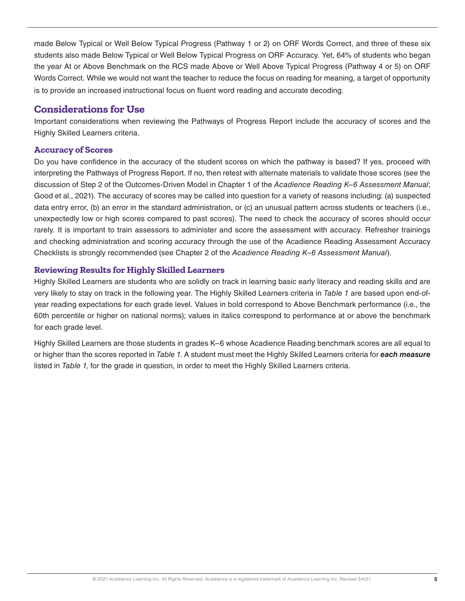made Below Typical or Well Below Typical Progress (Pathway 1 or 2) on ORF Words Correct, and three of these six students also made Below Typical or Well Below Typical Progress on ORF Accuracy. Yet, 64% of students who began the year At or Above Benchmark on the RCS made Above or Well Above Typical Progress (Pathway 4 or 5) on ORF Words Correct. While we would not want the teacher to reduce the focus on reading for meaning, a target of opportunity is to provide an increased instructional focus on fluent word reading and accurate decoding.

## **Considerations for Use**

Important considerations when reviewing the Pathways of Progress Report include the accuracy of scores and the Highly Skilled Learners criteria.

#### **Accuracy of Scores**

Do you have confidence in the accuracy of the student scores on which the pathway is based? If yes, proceed with interpreting the Pathways of Progress Report. If no, then retest with alternate materials to validate those scores (see the discussion of Step 2 of the Outcomes-Driven Model in Chapter 1 of the *Acadience Reading K–6 Assessment Manual*; Good et al., 2021). The accuracy of scores may be called into question for a variety of reasons including: (a) suspected data entry error, (b) an error in the standard administration, or (c) an unusual pattern across students or teachers (i.e., unexpectedly low or high scores compared to past scores). The need to check the accuracy of scores should occur rarely. It is important to train assessors to administer and score the assessment with accuracy. Refresher trainings and checking administration and scoring accuracy through the use of the Acadience Reading Assessment Accuracy Checklists is strongly recommended (see Chapter 2 of the *Acadience Reading K–6 Assessment Manual*).

### **Reviewing Results for Highly Skilled Learners**

Highly Skilled Learners are students who are solidly on track in learning basic early literacy and reading skills and are very likely to stay on track in the following year. The Highly Skilled Learners criteria in *Table 1* are based upon end-ofyear reading expectations for each grade level. Values in bold correspond to Above Benchmark performance (i.e., the 60th percentile or higher on national norms); values in italics correspond to performance at or above the benchmark for each grade level.

Highly Skilled Learners are those students in grades K–6 whose Acadience Reading benchmark scores are all equal to or higher than the scores reported in *Table 1*. A student must meet the Highly Skilled Learners criteria for *each measure* listed in *Table 1*, for the grade in question, in order to meet the Highly Skilled Learners criteria.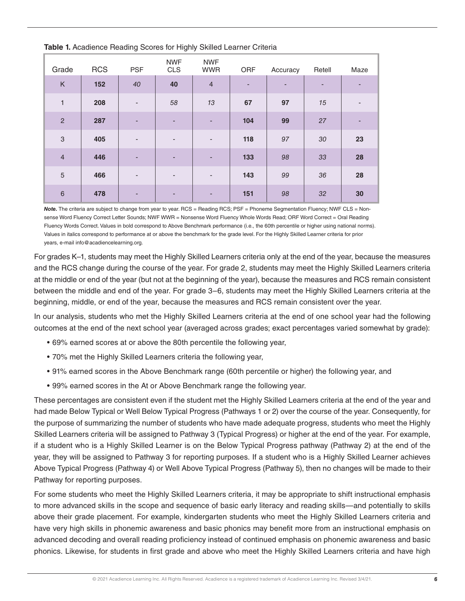| Grade                     | <b>RCS</b> | <b>PSF</b>               | <b>NWF</b><br><b>CLS</b> | <b>NWF</b><br><b>WWR</b> | ORF | Accuracy | Retell | Maze                     |
|---------------------------|------------|--------------------------|--------------------------|--------------------------|-----|----------|--------|--------------------------|
| K                         | 152        | 40                       | 40                       | $\overline{4}$           | ٠   | ٠        | ٠      | ٠                        |
| $\mathbf{1}$              | 208        | $\overline{\phantom{a}}$ | 58                       | 13                       | 67  | 97       | 15     | $\overline{\phantom{a}}$ |
| $\overline{c}$            | 287        | ٠                        | $\overline{\phantom{a}}$ | ٠                        | 104 | 99       | 27     | ٠                        |
| $\ensuremath{\mathsf{3}}$ | 405        | $\overline{\phantom{a}}$ | $\overline{\phantom{a}}$ | $\overline{\phantom{a}}$ | 118 | 97       | 30     | 23                       |
| $\overline{4}$            | 446        | ٠                        | $\overline{\phantom{a}}$ | $\overline{\phantom{a}}$ | 133 | 98       | 33     | 28                       |
| $\sqrt{5}$                | 466        | $\overline{\phantom{a}}$ | $\overline{\phantom{a}}$ | $\overline{\phantom{a}}$ | 143 | 99       | 36     | 28                       |
| $6\phantom{1}6$           | 478        |                          | $\overline{\phantom{0}}$ | ٠                        | 151 | 98       | 32     | 30                       |

**Table 1.** Acadience Reading Scores for Highly Skilled Learner Criteria

*Note.* The criteria are subject to change from year to year. RCS = Reading RCS; PSF = Phoneme Segmentation Fluency; NWF CLS = Nonsense Word Fluency Correct Letter Sounds; NWF WWR = Nonsense Word Fluency Whole Words Read; ORF Word Correct = Oral Reading Fluency Words Correct. Values in bold correspond to Above Benchmark performance (i.e., the 60th percentile or higher using national norms). Values in italics correspond to performance at or above the benchmark for the grade level. For the Highly Skilled Learner criteria for prior years, e-mail info@acadiencelearning.org.

For grades K–1, students may meet the Highly Skilled Learners criteria only at the end of the year, because the measures and the RCS change during the course of the year. For grade 2, students may meet the Highly Skilled Learners criteria at the middle or end of the year (but not at the beginning of the year), because the measures and RCS remain consistent between the middle and end of the year. For grade 3–6, students may meet the Highly Skilled Learners criteria at the beginning, middle, or end of the year, because the measures and RCS remain consistent over the year.

In our analysis, students who met the Highly Skilled Learners criteria at the end of one school year had the following outcomes at the end of the next school year (averaged across grades; exact percentages varied somewhat by grade):

- 69% earned scores at or above the 80th percentile the following year,
- 70% met the Highly Skilled Learners criteria the following year,
- 91% earned scores in the Above Benchmark range (60th percentile or higher) the following year, and
- 99% earned scores in the At or Above Benchmark range the following year.

These percentages are consistent even if the student met the Highly Skilled Learners criteria at the end of the year and had made Below Typical or Well Below Typical Progress (Pathways 1 or 2) over the course of the year. Consequently, for the purpose of summarizing the number of students who have made adequate progress, students who meet the Highly Skilled Learners criteria will be assigned to Pathway 3 (Typical Progress) or higher at the end of the year. For example, if a student who is a Highly Skilled Learner is on the Below Typical Progress pathway (Pathway 2) at the end of the year, they will be assigned to Pathway 3 for reporting purposes. If a student who is a Highly Skilled Learner achieves Above Typical Progress (Pathway 4) or Well Above Typical Progress (Pathway 5), then no changes will be made to their Pathway for reporting purposes.

For some students who meet the Highly Skilled Learners criteria, it may be appropriate to shift instructional emphasis to more advanced skills in the scope and sequence of basic early literacy and reading skills—and potentially to skills above their grade placement. For example, kindergarten students who meet the Highly Skilled Learners criteria and have very high skills in phonemic awareness and basic phonics may benefit more from an instructional emphasis on advanced decoding and overall reading proficiency instead of continued emphasis on phonemic awareness and basic phonics. Likewise, for students in first grade and above who meet the Highly Skilled Learners criteria and have high